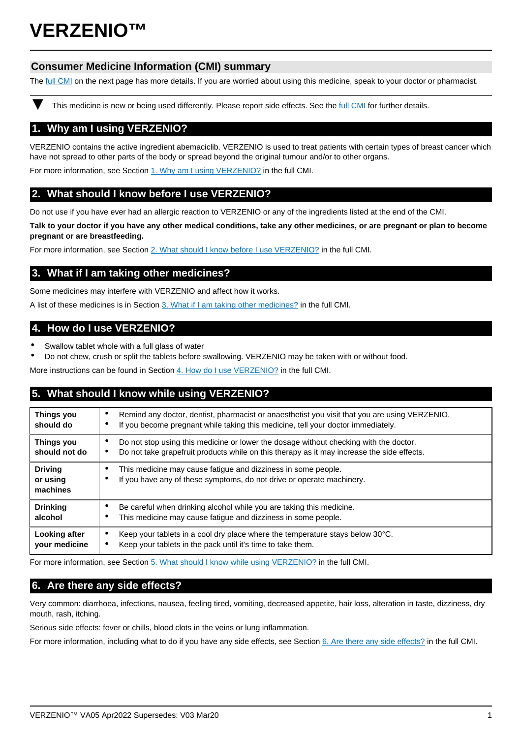# **VERZENIO™**

## **Consumer Medicine Information (CMI) summary**

The [full CMI](#page-1-0) on the next page has more details. If you are worried about using this medicine, speak to your doctor or pharmacist.

This medicine is new or being used differently. Please report side effects. See the [full CMI](#page-1-0) for further details.

# **1. Why am I using VERZENIO?**

VERZENIO contains the active ingredient abemaciclib. VERZENIO is used to treat patients with certain types of breast cancer which have not spread to other parts of the body or spread beyond the original tumour and/or to other organs.

For more information, see Section [1. Why am I using VERZENIO?](#page-1-1) in the full CMI.

# **2. What should I know before I use VERZENIO?**

Do not use if you have ever had an allergic reaction to VERZENIO or any of the ingredients listed at the end of the CMI.

**Talk to your doctor if you have any other medical conditions, take any other medicines, or are pregnant or plan to become pregnant or are breastfeeding.**

For more information, see Section [2. What should I know before I use VERZENIO?](#page-1-2) in the full CMI.

## **3. What if I am taking other medicines?**

Some medicines may interfere with VERZENIO and affect how it works.

A list of these medicines is in Section [3. What if I am taking other medicines?](#page-1-3) in the full CMI.

## **4. How do I use VERZENIO?**

- Swallow tablet whole with a full glass of water
- Do not chew, crush or split the tablets before swallowing. VERZENIO may be taken with or without food.

More instructions can be found in Section [4. How do I use VERZENIO?](#page-1-4) in the full CMI.

# **5. What should I know while using VERZENIO?**

| <b>Things you</b><br>should do         | Remind any doctor, dentist, pharmacist or anaesthetist you visit that you are using VERZENIO.<br>٠<br>If you become pregnant while taking this medicine, tell your doctor immediately.<br>٠ |
|----------------------------------------|---------------------------------------------------------------------------------------------------------------------------------------------------------------------------------------------|
| Things you<br>should not do            | Do not stop using this medicine or lower the dosage without checking with the doctor.<br>Do not take grapefruit products while on this therapy as it may increase the side effects.         |
| <b>Driving</b><br>or using<br>machines | This medicine may cause fatigue and dizziness in some people.<br>If you have any of these symptoms, do not drive or operate machinery.                                                      |
| <b>Drinking</b><br>alcohol             | Be careful when drinking alcohol while you are taking this medicine.<br>This medicine may cause fatigue and dizziness in some people.                                                       |
| Looking after<br>your medicine         | Keep your tablets in a cool dry place where the temperature stays below 30°C.<br>٠<br>Keep your tablets in the pack until it's time to take them.<br>٠                                      |

For more information, see Section [5. What should I know while using VERZENIO?](#page-2-0) in the full CMI.

# **6. Are there any side effects?**

Very common: diarrhoea, infections, nausea, feeling tired, vomiting, decreased appetite, hair loss, alteration in taste, dizziness, dry mouth, rash, itching.

Serious side effects: fever or chills, blood clots in the veins or lung inflammation.

For more information, including what to do if you have any side effects, see Section [6. Are there any side effects?](#page-3-0) in the full CMI.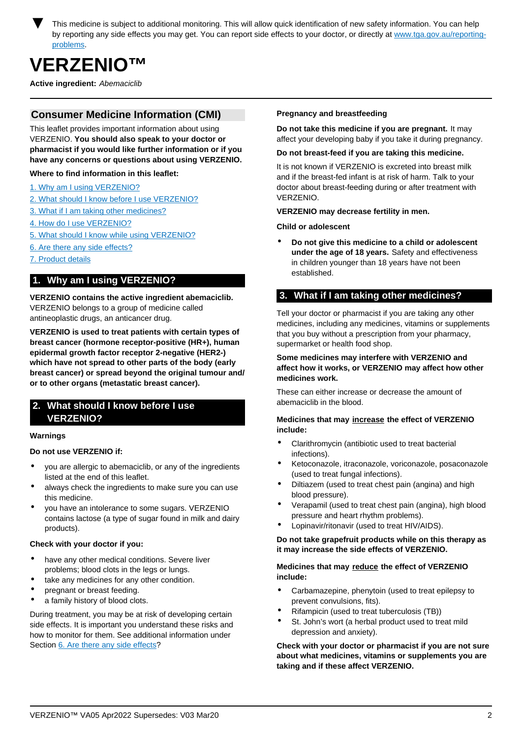<span id="page-1-0"></span>This medicine is subject to additional monitoring. This will allow quick identification of new safety information. You can help by reporting any side effects you may get. You can report side effects to your doctor, or directly at [www.tga.gov.au/reporting](http://www.tga.gov.au/reporting-problems)[problems.](http://www.tga.gov.au/reporting-problems)

# **VERZENIO™**

**Active ingredient:** Abemaciclib

## **Consumer Medicine Information (CMI)**

This leaflet provides important information about using VERZENIO. **You should also speak to your doctor or pharmacist if you would like further information or if you have any concerns or questions about using VERZENIO.**

#### **Where to find information in this leaflet:**

- [1. Why am I using VERZENIO?](#page-1-1)
- [2. What should I know before I use VERZENIO?](#page-1-2)
- [3. What if I am taking other medicines?](#page-1-3)
- [4. How do I use VERZENIO?](#page-1-4)
- [5. What should I know while using VERZENIO?](#page-2-0)
- [6. Are there any side effects?](#page-3-0)
- [7. Product details](#page-3-1)

## <span id="page-1-1"></span>**1. Why am I using VERZENIO?**

**VERZENIO contains the active ingredient abemaciclib.** VERZENIO belongs to a group of medicine called antineoplastic drugs, an anticancer drug.

**VERZENIO is used to treat patients with certain types of breast cancer (hormone receptor-positive (HR+), human epidermal growth factor receptor 2-negative (HER2-) which have not spread to other parts of the body (early breast cancer) or spread beyond the original tumour and/ or to other organs (metastatic breast cancer).**

## <span id="page-1-2"></span>**2. What should I know before I use VERZENIO?**

#### **Warnings**

#### **Do not use VERZENIO if:**

- you are allergic to abemaciclib, or any of the ingredients listed at the end of this leaflet.
- always check the ingredients to make sure you can use this medicine.
- you have an intolerance to some sugars. VERZENIO contains lactose (a type of sugar found in milk and dairy products).

#### **Check with your doctor if you:**

- have any other medical conditions. Severe liver problems; blood clots in the legs or lungs.
- take any medicines for any other condition.
- pregnant or breast feeding.
- a family history of blood clots.

During treatment, you may be at risk of developing certain side effects. It is important you understand these risks and how to monitor for them. See additional information under Section [6. Are there any side effects?](#page-3-0)

#### **Pregnancy and breastfeeding**

**Do not take this medicine if you are pregnant.** It may affect your developing baby if you take it during pregnancy.

#### **Do not breast-feed if you are taking this medicine.**

It is not known if VERZENIO is excreted into breast milk and if the breast-fed infant is at risk of harm. Talk to your doctor about breast-feeding during or after treatment with VERZENIO.

#### **VERZENIO may decrease fertility in men.**

<span id="page-1-3"></span>**Child or adolescent**

• **Do not give this medicine to a child or adolescent under the age of 18 years.** Safety and effectiveness in children younger than 18 years have not been established.

## **3. What if I am taking other medicines?**

Tell your doctor or pharmacist if you are taking any other medicines, including any medicines, vitamins or supplements that you buy without a prescription from your pharmacy, supermarket or health food shop.

#### **Some medicines may interfere with VERZENIO and affect how it works, or VERZENIO may affect how other medicines work.**

These can either increase or decrease the amount of abemaciclib in the blood.

#### **Medicines that may increase the effect of VERZENIO include:**

- Clarithromycin (antibiotic used to treat bacterial infections).
- Ketoconazole, itraconazole, voriconazole, posaconazole (used to treat fungal infections).
- Diltiazem (used to treat chest pain (angina) and high blood pressure).
- Verapamil (used to treat chest pain (angina), high blood pressure and heart rhythm problems).
- Lopinavir/ritonavir (used to treat HIV/AIDS).

#### **Do not take grapefruit products while on this therapy as it may increase the side effects of VERZENIO.**

#### **Medicines that may reduce the effect of VERZENIO include:**

- Carbamazepine, phenytoin (used to treat epilepsy to prevent convulsions, fits).
- Rifampicin (used to treat tuberculosis (TB))
- St. John's wort (a herbal product used to treat mild depression and anxiety).

<span id="page-1-4"></span>**Check with your doctor or pharmacist if you are not sure about what medicines, vitamins or supplements you are taking and if these affect VERZENIO.**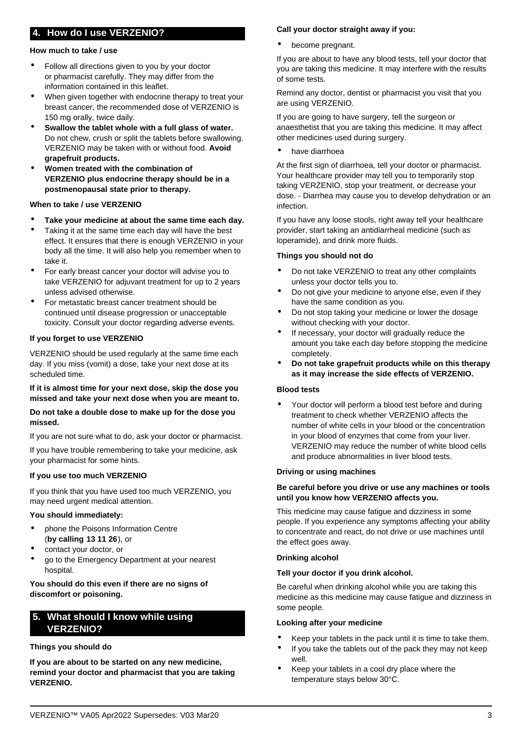# **4. How do I use VERZENIO?**

#### **How much to take / use**

- Follow all directions given to you by your doctor or pharmacist carefully. They may differ from the information contained in this leaflet.
- When given together with endocrine therapy to treat your breast cancer, the recommended dose of VERZENIO is 150 mg orally, twice daily.
- **Swallow the tablet whole with a full glass of water.** Do not chew, crush or split the tablets before swallowing. VERZENIO may be taken with or without food. **Avoid grapefruit products.**
- **Women treated with the combination of VERZENIO plus endocrine therapy should be in a postmenopausal state prior to therapy.**

#### **When to take / use VERZENIO**

- **Take your medicine at about the same time each day.**
- Taking it at the same time each day will have the best effect. It ensures that there is enough VERZENIO in your body all the time. It will also help you remember when to take it.
- For early breast cancer your doctor will advise you to take VERZENIO for adjuvant treatment for up to 2 years unless advised otherwise.
- For metastatic breast cancer treatment should be continued until disease progression or unacceptable toxicity. Consult your doctor regarding adverse events.

#### **If you forget to use VERZENIO**

VERZENIO should be used regularly at the same time each day. If you miss (vomit) a dose, take your next dose at its scheduled time.

#### **If it is almost time for your next dose, skip the dose you missed and take your next dose when you are meant to.**

#### **Do not take a double dose to make up for the dose you missed.**

If you are not sure what to do, ask your doctor or pharmacist.

If you have trouble remembering to take your medicine, ask your pharmacist for some hints.

## **If you use too much VERZENIO**

If you think that you have used too much VERZENIO, you may need urgent medical attention.

#### **You should immediately:**

- phone the Poisons Information Centre (**by calling 13 11 26**), or
- contact your doctor, or
- go to the Emergency Department at your nearest hospital.

#### **You should do this even if there are no signs of discomfort or poisoning.**

## <span id="page-2-0"></span>**5. What should I know while using VERZENIO?**

## **Things you should do**

**If you are about to be started on any new medicine, remind your doctor and pharmacist that you are taking VERZENIO.**

#### **Call your doctor straight away if you:**

become pregnant.

If you are about to have any blood tests, tell your doctor that you are taking this medicine. It may interfere with the results of some tests.

Remind any doctor, dentist or pharmacist you visit that you are using VERZENIO.

If you are going to have surgery, tell the surgeon or anaesthetist that you are taking this medicine. It may affect other medicines used during surgery.

have diarrhoea

At the first sign of diarrhoea, tell your doctor or pharmacist. Your healthcare provider may tell you to temporarily stop taking VERZENIO, stop your treatment, or decrease your dose. - Diarrhea may cause you to develop dehydration or an infection.

If you have any loose stools, right away tell your healthcare provider, start taking an antidiarrheal medicine (such as loperamide), and drink more fluids.

#### **Things you should not do**

- Do not take VERZENIO to treat any other complaints unless your doctor tells you to.
- Do not give your medicine to anyone else, even if they have the same condition as you.
- Do not stop taking your medicine or lower the dosage without checking with your doctor.
- If necessary, your doctor will gradually reduce the amount you take each day before stopping the medicine completely.
- **Do not take grapefruit products while on this therapy as it may increase the side effects of VERZENIO.**

#### **Blood tests**

• Your doctor will perform a blood test before and during treatment to check whether VERZENIO affects the number of white cells in your blood or the concentration in your blood of enzymes that come from your liver. VERZENIO may reduce the number of white blood cells and produce abnormalities in liver blood tests.

#### **Driving or using machines**

#### **Be careful before you drive or use any machines or tools until you know how VERZENIO affects you.**

This medicine may cause fatigue and dizziness in some people. If you experience any symptoms affecting your ability to concentrate and react, do not drive or use machines until the effect goes away.

#### **Drinking alcohol**

#### **Tell your doctor if you drink alcohol.**

Be careful when drinking alcohol while you are taking this medicine as this medicine may cause fatigue and dizziness in some people.

#### **Looking after your medicine**

- Keep your tablets in the pack until it is time to take them.
- If you take the tablets out of the pack they may not keep well.
- Keep your tablets in a cool dry place where the temperature stays below 30°C.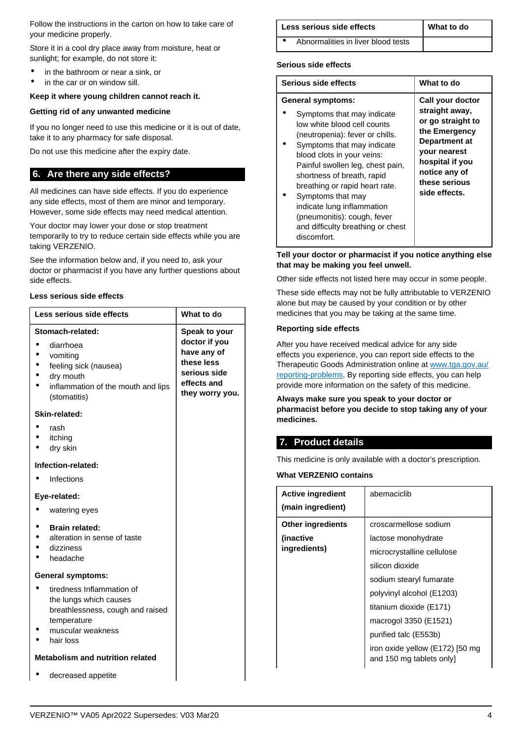Follow the instructions in the carton on how to take care of your medicine properly.

Store it in a cool dry place away from moisture, heat or sunlight; for example, do not store it:

- in the bathroom or near a sink, or
- in the car or on window sill.

#### **Keep it where young children cannot reach it.**

#### **Getting rid of any unwanted medicine**

If you no longer need to use this medicine or it is out of date, take it to any pharmacy for safe disposal.

Do not use this medicine after the expiry date.

## <span id="page-3-0"></span>**6. Are there any side effects?**

All medicines can have side effects. If you do experience any side effects, most of them are minor and temporary. However, some side effects may need medical attention.

Your doctor may lower your dose or stop treatment temporarily to try to reduce certain side effects while you are taking VERZENIO.

See the information below and, if you need to, ask your doctor or pharmacist if you have any further questions about side effects.

#### **Less serious side effects**

| Less serious side effects                                                                                                                | What to do                                                                                                           |  |  |  |
|------------------------------------------------------------------------------------------------------------------------------------------|----------------------------------------------------------------------------------------------------------------------|--|--|--|
| Stomach-related:<br>diarrhoea                                                                                                            | <b>Speak to your</b><br>doctor if you<br>have any of<br>these less<br>serious side<br>effects and<br>they worry you. |  |  |  |
| vomiting<br>feeling sick (nausea)<br>dry mouth<br>inflammation of the mouth and lips<br>(stomatitis)                                     |                                                                                                                      |  |  |  |
| Skin-related:                                                                                                                            |                                                                                                                      |  |  |  |
| rash<br>itching<br>dry skin                                                                                                              |                                                                                                                      |  |  |  |
| Infection-related:                                                                                                                       |                                                                                                                      |  |  |  |
| Infections                                                                                                                               |                                                                                                                      |  |  |  |
| Eye-related:                                                                                                                             |                                                                                                                      |  |  |  |
| watering eyes                                                                                                                            |                                                                                                                      |  |  |  |
| <b>Brain related:</b><br>alteration in sense of taste<br>dizziness<br>headache                                                           |                                                                                                                      |  |  |  |
| <b>General symptoms:</b>                                                                                                                 |                                                                                                                      |  |  |  |
| tiredness Inflammation of<br>the lungs which causes<br>breathlessness, cough and raised<br>temperature<br>muscular weakness<br>hair loss |                                                                                                                      |  |  |  |
| <b>Metabolism and nutrition related</b>                                                                                                  |                                                                                                                      |  |  |  |
| decreased appetite                                                                                                                       |                                                                                                                      |  |  |  |

| Less serious side effects | What to do |
|---------------------------|------------|
|                           |            |

• Abnormalities in liver blood tests

#### **Serious side effects**

| Serious side effects                                                                                                                                                                                                                                                                                                                                                                                                           | What to do                                                                                                                                                                             |
|--------------------------------------------------------------------------------------------------------------------------------------------------------------------------------------------------------------------------------------------------------------------------------------------------------------------------------------------------------------------------------------------------------------------------------|----------------------------------------------------------------------------------------------------------------------------------------------------------------------------------------|
| <b>General symptoms:</b><br>Symptoms that may indicate<br>low white blood cell counts<br>(neutropenia): fever or chills.<br>Symptoms that may indicate<br>blood clots in your veins:<br>Painful swollen leg, chest pain,<br>shortness of breath, rapid<br>breathing or rapid heart rate.<br>Symptoms that may<br>indicate lung inflammation<br>(pneumonitis): cough, fever<br>and difficulty breathing or chest<br>discomfort. | Call your doctor<br>straight away,<br>or go straight to<br>the Emergency<br>Department at<br><b>vour nearest</b><br>hospital if you<br>notice any of<br>these serious<br>side effects. |

#### **Tell your doctor or pharmacist if you notice anything else that may be making you feel unwell.**

Other side effects not listed here may occur in some people.

These side effects may not be fully attributable to VERZENIO alone but may be caused by your condition or by other medicines that you may be taking at the same time.

#### **Reporting side effects**

After you have received medical advice for any side effects you experience, you can report side effects to the Therapeutic Goods Administration online at [www.tga.gov.au/](http://www.tga.gov.au/reporting-problems) [reporting-problems](http://www.tga.gov.au/reporting-problems). By reporting side effects, you can help provide more information on the safety of this medicine.

**Always make sure you speak to your doctor or pharmacist before you decide to stop taking any of your medicines.**

# <span id="page-3-1"></span>**7. Product details**

This medicine is only available with a doctor's prescription.

**What VERZENIO contains**

| <b>Active ingredient</b> | abemaciclib                                                |
|--------------------------|------------------------------------------------------------|
| (main ingredient)        |                                                            |
| <b>Other ingredients</b> | croscarmellose sodium                                      |
| (inactive)               | lactose monohydrate                                        |
| ingredients)             | microcrystalline cellulose                                 |
|                          | silicon dioxide                                            |
|                          | sodium stearyl fumarate                                    |
|                          | polyvinyl alcohol (E1203)                                  |
|                          | titanium dioxide (E171)                                    |
|                          | macrogol 3350 (E1521)                                      |
|                          | purified talc (E553b)                                      |
|                          | iron oxide yellow (E172) [50 mg<br>and 150 mg tablets only |